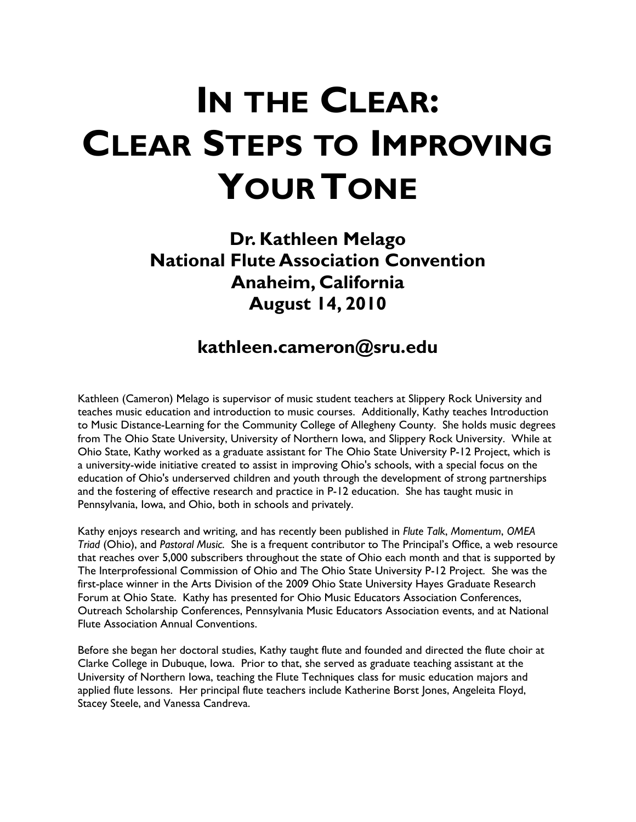**Dr. Kathleen Melago National Flute Association Convention Anaheim, California August 14, 2010** 

### **kathleen.cameron@sru.edu**

Kathleen (Cameron) Melago is supervisor of music student teachers at Slippery Rock University and teaches music education and introduction to music courses. Additionally, Kathy teaches Introduction to Music Distance-Learning for the Community College of Allegheny County. She holds music degrees from The Ohio State University, University of Northern Iowa, and Slippery Rock University. While at Ohio State, Kathy worked as a graduate assistant for The Ohio State University P-12 Project, which is a university-wide initiative created to assist in improving Ohio's schools, with a special focus on the education of Ohio's underserved children and youth through the development of strong partnerships and the fostering of effective research and practice in P-12 education. She has taught music in Pennsylvania, Iowa, and Ohio, both in schools and privately.

Kathy enjoys research and writing, and has recently been published in *Flute Talk*, *Momentum*, *OMEA Triad* (Ohio), and *Pastoral Music*. She is a frequent contributor to The Principal's Office, a web resource that reaches over 5,000 subscribers throughout the state of Ohio each month and that is supported by The Interprofessional Commission of Ohio and The Ohio State University P-12 Project. She was the first-place winner in the Arts Division of the 2009 Ohio State University Hayes Graduate Research Forum at Ohio State. Kathy has presented for Ohio Music Educators Association Conferences, Outreach Scholarship Conferences, Pennsylvania Music Educators Association events, and at National Flute Association Annual Conventions.

Before she began her doctoral studies, Kathy taught flute and founded and directed the flute choir at Clarke College in Dubuque, Iowa. Prior to that, she served as graduate teaching assistant at the University of Northern Iowa, teaching the Flute Techniques class for music education majors and applied flute lessons. Her principal flute teachers include Katherine Borst Jones, Angeleita Floyd, Stacey Steele, and Vanessa Candreva.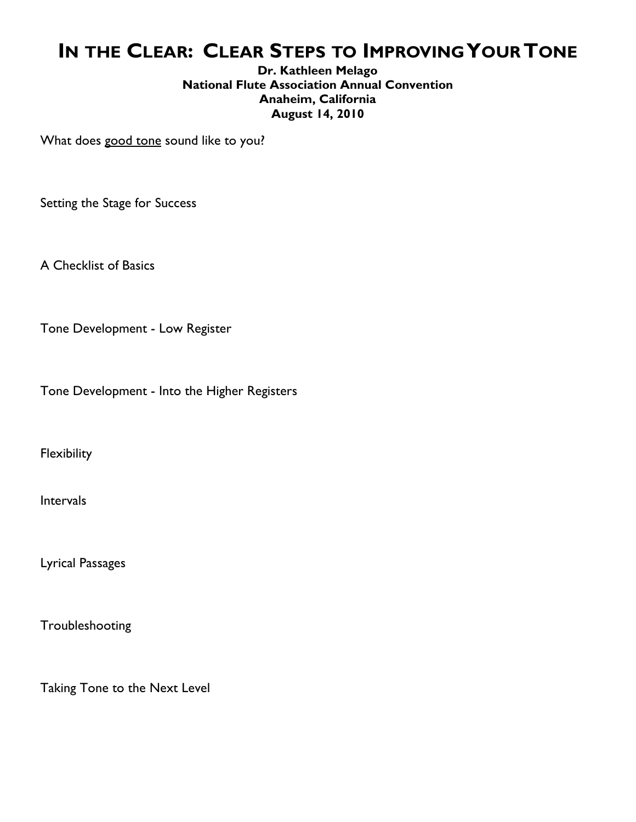#### **Dr. Kathleen Melago National Flute Association Annual Convention Anaheim, California August 14, 2010**

What does good tone sound like to you?

Setting the Stage for Success

A Checklist of Basics

Tone Development - Low Register

Tone Development - Into the Higher Registers

**Flexibility** 

Intervals

Lyrical Passages

Troubleshooting

Taking Tone to the Next Level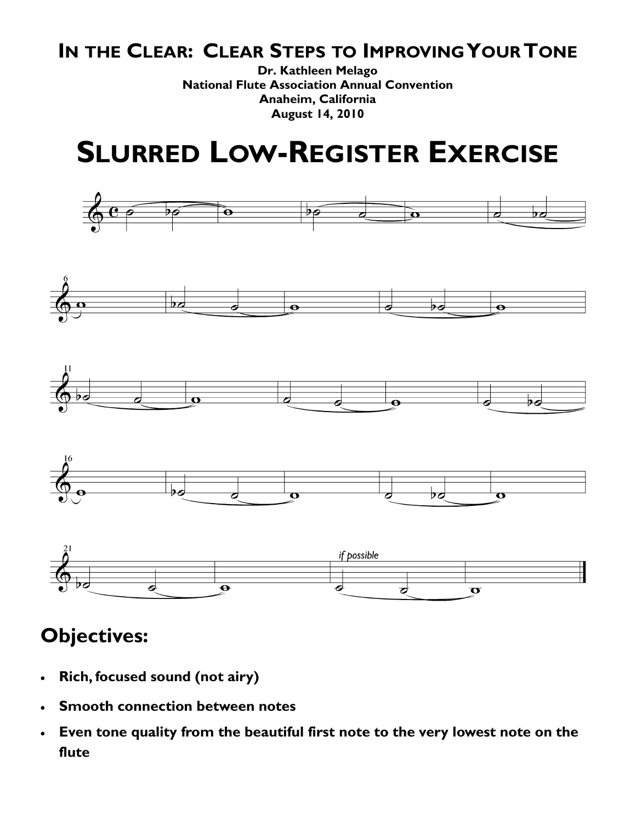**Dr. Kathleen Melago National Flute Association Annual Convention Anaheim, California August 14, 2010** 

## **SLURRED LOW-REGISTER EXERCISE**











- **Rich, focused sound (not airy)**
- **Smooth connection between notes**
- **Even tone quality from the beautiful first note to the very lowest note on the flute**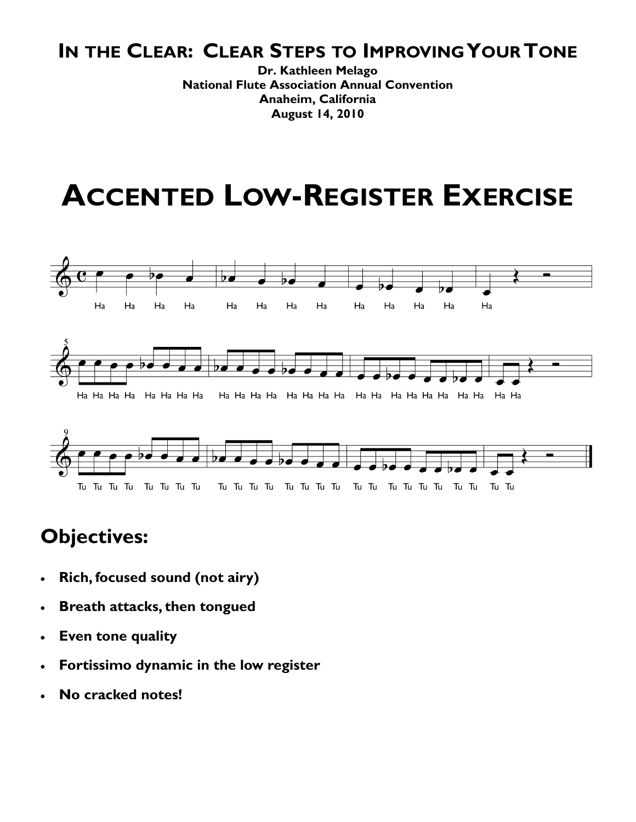**Dr. Kathleen Melago National Flute Association Annual Convention Anaheim, California August 14, 2010** 

## **ACCENTED LOW-REGISTER EXERCISE**





- **Rich, focused sound (not airy)**
- **Breath attacks, then tongued**
- **Even tone quality**
- **Fortissimo dynamic in the low register**
- **No cracked notes!**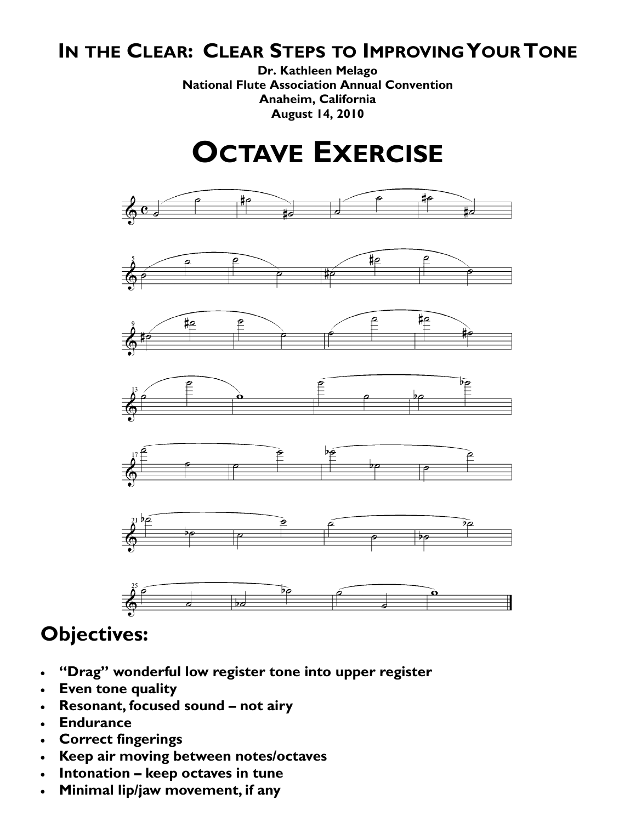**Dr. Kathleen Melago National Flute Association Annual Convention Anaheim, California August 14, 2010** 

## **OCTAVE EXERCISE**



- **"Drag" wonderful low register tone into upper register**
- **Even tone quality**
- **Resonant, focused sound not airy**
- **Endurance**
- **Correct fingerings**
- **Keep air moving between notes/octaves**
- **Intonation keep octaves in tune**
- **Minimal lip/jaw movement, if any**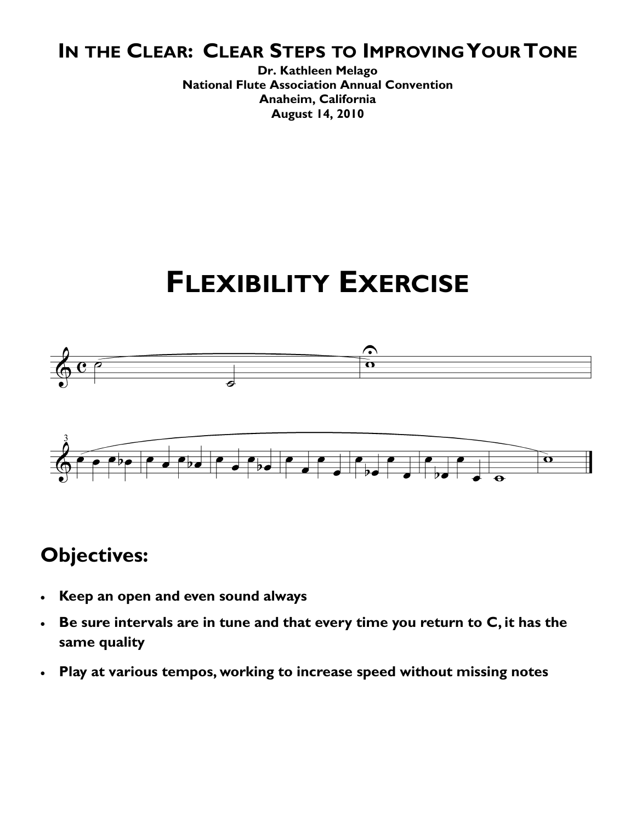**Dr. Kathleen Melago National Flute Association Annual Convention Anaheim, California August 14, 2010** 

## **FLEXIBILITY EXERCISE**



- **Keep an open and even sound always**
- **Be sure intervals are in tune and that every time you return to C, it has the same quality**
- **Play at various tempos, working to increase speed without missing notes**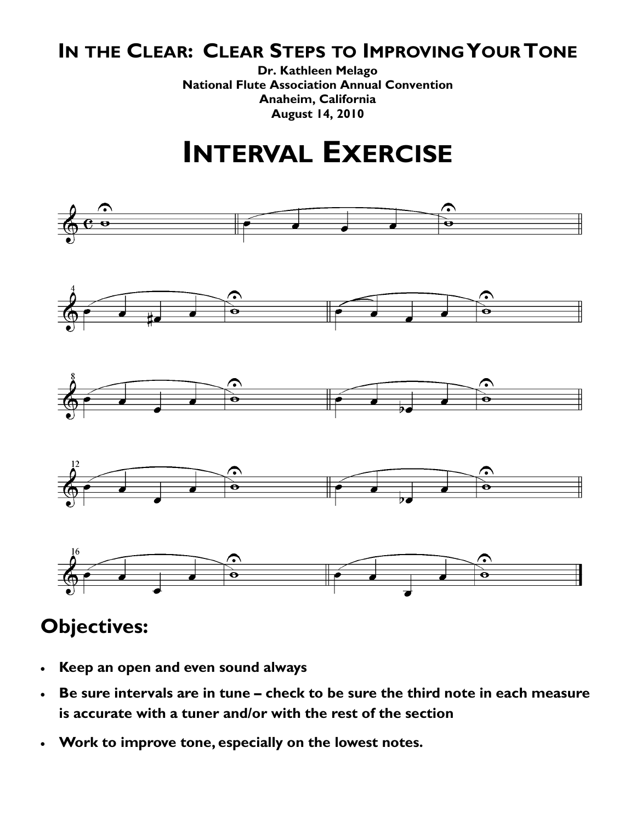**Dr. Kathleen Melago National Flute Association Annual Convention Anaheim, California August 14, 2010** 

## **INTERVAL EXERCISE**



- **Keep an open and even sound always**
- **Be sure intervals are in tune check to be sure the third note in each measure is accurate with a tuner and/or with the rest of the section**
- **Work to improve tone, especially on the lowest notes.**